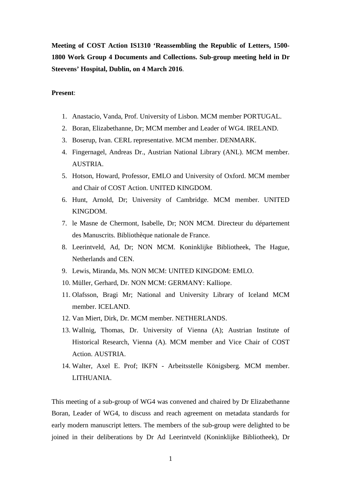**Meeting of COST Action IS1310 'Reassembling the Republic of Letters, 1500- 1800 Work Group 4 Documents and Collections. Sub-group meeting held in Dr Steevens' Hospital, Dublin, on 4 March 2016**.

#### **Present**:

- 1. Anastacio, Vanda, Prof. University of Lisbon. MCM member PORTUGAL.
- 2. Boran, Elizabethanne, Dr; MCM member and Leader of WG4. IRELAND.
- 3. Boserup, Ivan. CERL representative. MCM member. DENMARK.
- 4. Fingernagel, Andreas Dr., Austrian National Library (ANL). MCM member. AUSTRIA.
- 5. Hotson, Howard, Professor, EMLO and University of Oxford. MCM member and Chair of COST Action. UNITED KINGDOM.
- 6. Hunt, Arnold, Dr; University of Cambridge. MCM member. UNITED KINGDOM.
- 7. le Masne de Chermont, Isabelle, Dr; NON MCM. Directeur du département des Manuscrits. Bibliothèque nationale de France.
- 8. Leerintveld, Ad, Dr; NON MCM. Koninklijke Bibliotheek, The Hague, Netherlands and CEN.
- 9. Lewis, Miranda, Ms. NON MCM: UNITED KINGDOM: EMLO.
- 10. Müller, Gerhard, Dr. NON MCM: GERMANY: Kalliope.
- 11. Olafsson, Bragi Mr; National and University Library of Iceland MCM member. ICELAND.
- 12. Van Miert, Dirk, Dr. MCM member. NETHERLANDS.
- 13. Wallnig, Thomas, Dr. University of Vienna (A); Austrian Institute of Historical Research, Vienna (A). MCM member and Vice Chair of COST Action. AUSTRIA.
- 14. Walter, Axel E. Prof; IKFN Arbeitsstelle Königsberg. MCM member. LITHUANIA.

This meeting of a sub-group of WG4 was convened and chaired by Dr Elizabethanne Boran, Leader of WG4, to discuss and reach agreement on metadata standards for early modern manuscript letters. The members of the sub-group were delighted to be joined in their deliberations by Dr Ad Leerintveld (Koninklijke Bibliotheek), Dr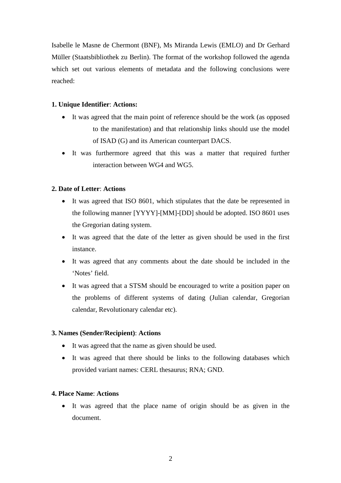Isabelle le Masne de Chermont (BNF), Ms Miranda Lewis (EMLO) and Dr Gerhard Müller (Staatsbibliothek zu Berlin). The format of the workshop followed the agenda which set out various elements of metadata and the following conclusions were reached:

## **1. Unique Identifier**: **Actions:**

- It was agreed that the main point of reference should be the work (as opposed to the manifestation) and that relationship links should use the model of ISAD (G) and its American counterpart DACS.
- It was furthermore agreed that this was a matter that required further interaction between WG4 and WG5.

## **2. Date of Letter**: **Actions**

- It was agreed that ISO 8601, which stipulates that the date be represented in the following manner [YYYY]-[MM]-[DD] should be adopted. ISO 8601 uses the Gregorian dating system.
- It was agreed that the date of the letter as given should be used in the first instance.
- It was agreed that any comments about the date should be included in the 'Notes' field.
- It was agreed that a STSM should be encouraged to write a position paper on the problems of different systems of dating (Julian calendar, Gregorian calendar, Revolutionary calendar etc).

#### **3. Names (Sender/Recipient)**: **Actions**

- It was agreed that the name as given should be used.
- It was agreed that there should be links to the following databases which provided variant names: CERL thesaurus; RNA; GND.

#### **4. Place Name**: **Actions**

 It was agreed that the place name of origin should be as given in the document.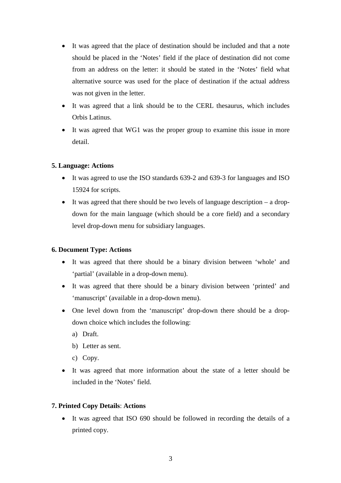- It was agreed that the place of destination should be included and that a note should be placed in the 'Notes' field if the place of destination did not come from an address on the letter: it should be stated in the 'Notes' field what alternative source was used for the place of destination if the actual address was not given in the letter.
- It was agreed that a link should be to the CERL thesaurus, which includes Orbis Latinus.
- It was agreed that WG1 was the proper group to examine this issue in more detail.

# **5. Language: Actions**

- It was agreed to use the ISO standards 639-2 and 639-3 for languages and ISO 15924 for scripts.
- $\bullet$  It was agreed that there should be two levels of language description a dropdown for the main language (which should be a core field) and a secondary level drop-down menu for subsidiary languages.

# **6. Document Type: Actions**

- It was agreed that there should be a binary division between 'whole' and 'partial' (available in a drop-down menu).
- It was agreed that there should be a binary division between 'printed' and 'manuscript' (available in a drop-down menu).
- One level down from the 'manuscript' drop-down there should be a dropdown choice which includes the following:
	- a) Draft.
	- b) Letter as sent.
	- c) Copy.
- It was agreed that more information about the state of a letter should be included in the 'Notes' field.

# **7. Printed Copy Details**: **Actions**

 It was agreed that ISO 690 should be followed in recording the details of a printed copy.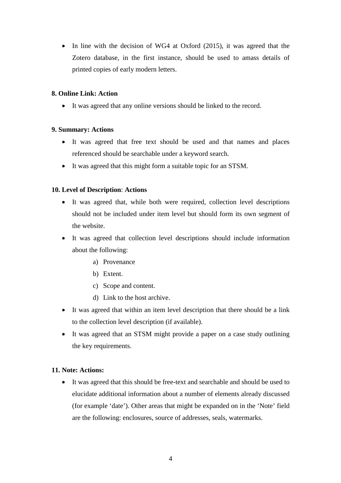• In line with the decision of WG4 at Oxford (2015), it was agreed that the Zotero database, in the first instance, should be used to amass details of printed copies of early modern letters.

## **8. Online Link: Action**

It was agreed that any online versions should be linked to the record.

## **9. Summary: Actions**

- It was agreed that free text should be used and that names and places referenced should be searchable under a keyword search.
- It was agreed that this might form a suitable topic for an STSM.

# **10. Level of Description**: **Actions**

- It was agreed that, while both were required, collection level descriptions should not be included under item level but should form its own segment of the website.
- It was agreed that collection level descriptions should include information about the following:
	- a) Provenance
	- b) Extent.
	- c) Scope and content.
	- d) Link to the host archive.
- It was agreed that within an item level description that there should be a link to the collection level description (if available).
- It was agreed that an STSM might provide a paper on a case study outlining the key requirements.

#### **11. Note: Actions:**

 It was agreed that this should be free-text and searchable and should be used to elucidate additional information about a number of elements already discussed (for example 'date'). Other areas that might be expanded on in the 'Note' field are the following: enclosures, source of addresses, seals, watermarks.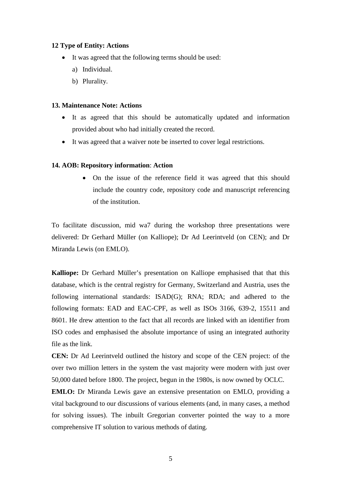#### **12 Type of Entity: Actions**

- It was agreed that the following terms should be used:
	- a) Individual.
	- b) Plurality.

#### **13. Maintenance Note: Actions**

- It as agreed that this should be automatically updated and information provided about who had initially created the record.
- It was agreed that a waiver note be inserted to cover legal restrictions.

#### **14. AOB: Repository information**: **Action**

 On the issue of the reference field it was agreed that this should include the country code, repository code and manuscript referencing of the institution.

To facilitate discussion, mid wa7 during the workshop three presentations were delivered: Dr Gerhard Müller (on Kalliope); Dr Ad Leerintveld (on CEN); and Dr Miranda Lewis (on EMLO).

**Kalliope:** Dr Gerhard Müller's presentation on Kalliope emphasised that that this database, which is the central registry for Germany, Switzerland and Austria, uses the following international standards: ISAD(G); RNA; RDA; and adhered to the following formats: EAD and EAC-CPF, as well as ISOs 3166, 639-2, 15511 and 8601. He drew attention to the fact that all records are linked with an identifier from ISO codes and emphasised the absolute importance of using an integrated authority file as the link.

**CEN:** Dr Ad Leerintveld outlined the history and scope of the CEN project: of the over two million letters in the system the vast majority were modern with just over 50,000 dated before 1800. The project, begun in the 1980s, is now owned by OCLC.

**EMLO:** Dr Miranda Lewis gave an extensive presentation on EMLO, providing a vital background to our discussions of various elements (and, in many cases, a method for solving issues). The inbuilt Gregorian converter pointed the way to a more comprehensive IT solution to various methods of dating.